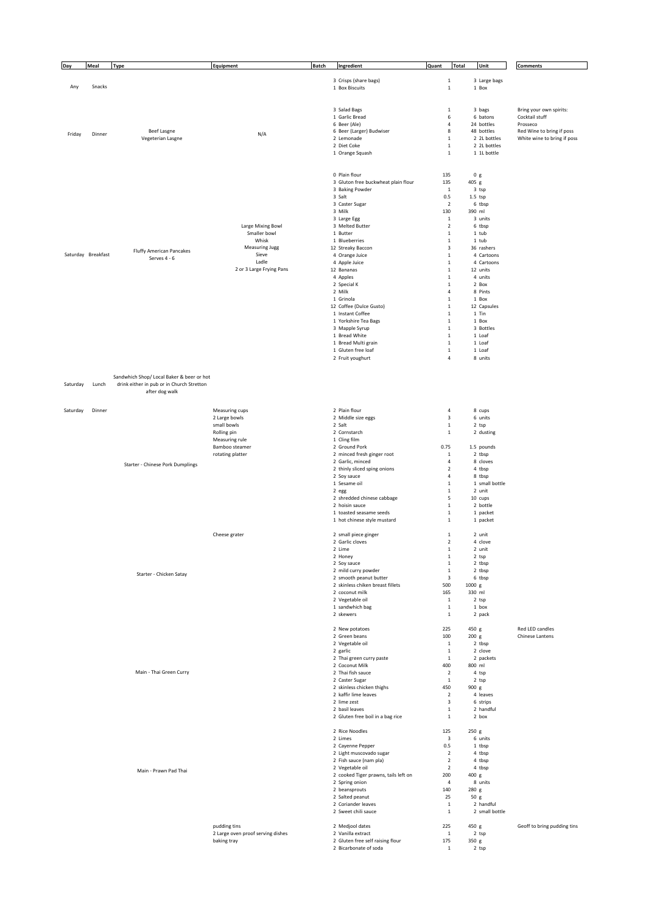| Day      | Meal               | <b>Type</b>                                     | Equipment                         | <b>Batch</b> | Ingredient                                                | Quant<br><b>Total</b>                  | Unit                       | <b>Comments</b>                                          |
|----------|--------------------|-------------------------------------------------|-----------------------------------|--------------|-----------------------------------------------------------|----------------------------------------|----------------------------|----------------------------------------------------------|
|          |                    |                                                 |                                   |              |                                                           |                                        |                            |                                                          |
| Any      | Snacks             |                                                 |                                   |              | 3 Crisps (share bags)<br>1 Box Biscuits                   | $\mathbf 1$<br>$\,$ 1                  | 3 Large bags<br>1 Box      |                                                          |
|          |                    |                                                 |                                   |              |                                                           |                                        |                            |                                                          |
|          |                    |                                                 |                                   |              |                                                           |                                        |                            |                                                          |
|          |                    |                                                 |                                   |              | 3 Salad Bags<br>1 Garlic Bread                            | $\mathbf 1$<br>6                       | 3 bags<br>6 batons         | Bring your own spirits:<br>Cocktail stuff                |
|          |                    |                                                 |                                   |              | 6 Beer (Ale)                                              | $\overline{4}$                         | 24 bottles                 | Prosseco                                                 |
| Friday   | Dinner             | Beef Lasgne<br>Vegeterian Lasgne                | N/A                               |              | 6 Beer (Larger) Budwiser<br>2 Lemonade                    | 8<br>$\mathbf 1$                       | 48 bottles<br>2 2L bottles | Red Wine to bring if poss<br>White wine to bring if poss |
|          |                    |                                                 |                                   |              | 2 Diet Coke                                               | $\,$ 1                                 | 2 2L bottles               |                                                          |
|          |                    |                                                 |                                   |              | 1 Orange Squash                                           | $\mathbf 1$                            | 1 1L bottle                |                                                          |
|          |                    |                                                 |                                   |              |                                                           |                                        |                            |                                                          |
|          |                    |                                                 |                                   |              | 0 Plain flour                                             | 135                                    | 0 g                        |                                                          |
|          |                    |                                                 |                                   |              | 3 Gluton free buckwheat plain flour<br>3 Baking Powder    | 135<br>$\mathbf{1}$                    | 405 g<br>3 tsp             |                                                          |
|          |                    |                                                 |                                   |              | 3 Salt                                                    | 0.5                                    | $1.5$ tsp                  |                                                          |
|          |                    |                                                 |                                   |              | 3 Caster Sugar                                            | $\overline{2}$                         | 6 tbsp                     |                                                          |
|          |                    |                                                 |                                   |              | 3 Milk<br>3 Large Egg                                     | 130<br>$\mathbf 1$                     | 390 ml<br>3 units          |                                                          |
|          |                    |                                                 | Large Mixing Bowl                 |              | 3 Melted Butter                                           | $\sqrt{2}$                             | 6 tbsp                     |                                                          |
|          |                    |                                                 | Smaller bowl                      |              | 1 Butter                                                  | $\mathbf 1$                            | $1$ tub                    |                                                          |
|          |                    |                                                 | Whisk<br>Measuring Jugg           |              | 1 Blueberries<br>12 Streaky Baccon                        | $\mathbf 1$<br>$\overline{\mathbf{3}}$ | 1 tub<br>36 rashers        |                                                          |
|          | Saturday Breakfast | <b>Fluffy American Pancakes</b><br>Serves 4 - 6 | Sieve                             |              | 4 Orange Juice                                            | $\mathbf 1$                            | 4 Cartoons                 |                                                          |
|          |                    |                                                 | Ladle<br>2 or 3 Large Frying Pans |              | 4 Apple Juice                                             | $\mathbf 1$                            | 4 Cartoons                 |                                                          |
|          |                    |                                                 |                                   |              | 12 Bananas<br>4 Apples                                    | $\mathbf 1$<br>$\mathbf 1$             | 12 units<br>4 units        |                                                          |
|          |                    |                                                 |                                   |              | 2 Special K                                               | $\mathbf 1$                            | 2 Box                      |                                                          |
|          |                    |                                                 |                                   |              | 2 Milk                                                    | $\overline{4}$                         | 8 Pints                    |                                                          |
|          |                    |                                                 |                                   |              | 1 Grinola<br>12 Coffee (Dulce Gusto)                      | $\mathbf 1$<br>$\mathbf 1$             | 1 Box<br>12 Capsules       |                                                          |
|          |                    |                                                 |                                   |              | 1 Instant Coffee                                          | $\,$ 1                                 | 1 Tin                      |                                                          |
|          |                    |                                                 |                                   |              | 1 Yorkshire Tea Bags                                      | $\mathbf 1$                            | 1 Box                      |                                                          |
|          |                    |                                                 |                                   |              | 3 Mapple Syrup<br>1 Bread White                           | $\,$ 1<br>$\mathbf 1$                  | 3 Bottles<br>1 Loaf        |                                                          |
|          |                    |                                                 |                                   |              | 1 Bread Multi grain                                       | $\,$ 1                                 | 1 Loaf                     |                                                          |
|          |                    |                                                 |                                   |              | 1 Gluten free loaf                                        | $\mathbf 1$                            | 1 Loaf                     |                                                          |
|          |                    |                                                 |                                   |              | 2 Fruit youghurt                                          | $\sqrt{4}$                             | 8 units                    |                                                          |
|          |                    | Sandwhich Shop/ Local Baker & beer or hot       |                                   |              |                                                           |                                        |                            |                                                          |
| Saturday | Lunch              | drink either in pub or in Church Stretton       |                                   |              |                                                           |                                        |                            |                                                          |
|          |                    | after dog walk                                  |                                   |              |                                                           |                                        |                            |                                                          |
|          |                    |                                                 |                                   |              |                                                           |                                        |                            |                                                          |
| Saturday | Dinner             |                                                 | Measuring cups<br>2 Large bowls   |              | 2 Plain flour<br>2 Middle size eggs                       | $\sqrt{4}$<br>$\mathsf 3$              | 8 cups<br>6 units          |                                                          |
|          |                    |                                                 | small bowls                       |              | 2 Salt                                                    | $\mathbf 1$                            | 2 tsp                      |                                                          |
|          |                    |                                                 | Rolling pin                       |              | 2 Cornstarch                                              | $\mathbf 1$                            | 2 dusting                  |                                                          |
|          |                    |                                                 | Measuring rule<br>Bamboo steamer  |              | 1 Cling film<br>2 Ground Pork                             | 0.75                                   | 1.5 pounds                 |                                                          |
|          |                    |                                                 | rotating platter                  |              | 2 minced fresh ginger root                                | $\mathbf 1$                            | 2 tbsp                     |                                                          |
|          |                    | Starter - Chinese Pork Dumplings                |                                   |              | 2 Garlic, minced                                          | $\overline{4}$                         | 8 cloves                   |                                                          |
|          |                    |                                                 |                                   |              | 2 thinly sliced sping onions<br>2 Soy sauce               | $\overline{2}$<br>$\sqrt{4}$           | 4 tbsp<br>8 tbsp           |                                                          |
|          |                    |                                                 |                                   |              | 1 Sesame oil                                              | $\mathbf 1$                            | 1 small bottle             |                                                          |
|          |                    |                                                 |                                   |              | 2 egg                                                     | $\mathbf 1$                            | 2 unit                     |                                                          |
|          |                    |                                                 |                                   |              | 2 shredded chinese cabbage<br>2 hoisin sauce              | 5<br>$\mathbf 1$                       | 10 cups<br>2 bottle        |                                                          |
|          |                    |                                                 |                                   |              | 1 toasted seasame seeds                                   | $\mathbf 1$                            | 1 packet                   |                                                          |
|          |                    |                                                 |                                   |              | 1 hot chinese style mustard                               | $\mathbf 1$                            | 1 packet                   |                                                          |
|          |                    |                                                 | Cheese grater                     |              | 2 small piece ginger                                      | $\mathbf 1$                            | 2 unit                     |                                                          |
|          |                    |                                                 |                                   |              | 2 Garlic cloves                                           | $\overline{\mathbf{c}}$                | 4 clove                    |                                                          |
|          |                    |                                                 |                                   |              | 2 Lime<br>2 Honey                                         | $\mathbf 1$<br>$\mathbf 1$             | 2 unit<br>2 tsp            |                                                          |
|          |                    |                                                 |                                   |              | 2 Soy sauce                                               | $\mathbf 1$                            | 2 tbsp                     |                                                          |
|          |                    | Starter - Chicken Satay                         |                                   |              | 2 mild curry powder<br>2 smooth peanut butter             | $\mathbf 1$<br>3                       | 2 tbsp<br>6 tbsp           |                                                          |
|          |                    |                                                 |                                   |              | 2 skinless chiken breast fillets                          | 500                                    | 1000 g                     |                                                          |
|          |                    |                                                 |                                   |              | 2 coconut milk                                            | 165                                    | 330 ml                     |                                                          |
|          |                    |                                                 |                                   |              | 2 Vegetable oil<br>1 sandwhich bag                        | $\mathbf 1$<br>$\mathbf 1$             | 2 tsp<br>1 box             |                                                          |
|          |                    |                                                 |                                   |              | 2 skewers                                                 | $\mathbf 1$                            | 2 pack                     |                                                          |
|          |                    |                                                 |                                   |              | 2 New potatoes                                            | 225                                    | 450 g                      | Red LED candles                                          |
|          |                    |                                                 |                                   |              | 2 Green beans                                             | 100                                    | 200 g                      | Chinese Lantens                                          |
|          |                    |                                                 |                                   |              | 2 Vegetable oil                                           | $\,$ 1                                 | 2 tbsp                     |                                                          |
|          |                    |                                                 |                                   |              | 2 garlic<br>2 Thai green curry paste                      | $\mathbf 1$<br>$\mathbf{1}$            | 2 clove<br>2 packets       |                                                          |
|          |                    |                                                 |                                   |              | 2 Coconut Milk                                            | 400                                    | 800 ml                     |                                                          |
|          |                    | Main - Thai Green Curry                         |                                   |              | 2 Thai fish sauce                                         | $\overline{2}$                         | 4 tsp                      |                                                          |
|          |                    |                                                 |                                   |              | 2 Caster Sugar<br>2 skinless chicken thighs               | $\,$ 1<br>450                          | 2 tsp<br>900 g             |                                                          |
|          |                    |                                                 |                                   |              | 2 kaffir lime leaves                                      | $\sqrt{2}$                             | 4 leaves                   |                                                          |
|          |                    |                                                 |                                   |              | 2 lime zest                                               | $\overline{\mathbf{3}}$<br>$\,$ 1      | 6 strips<br>2 handful      |                                                          |
|          |                    |                                                 |                                   |              | 2 basil leaves<br>2 Gluten free boil in a bag rice        | $\mathbf 1$                            | 2 box                      |                                                          |
|          |                    |                                                 |                                   |              |                                                           |                                        |                            |                                                          |
|          |                    |                                                 |                                   |              | 2 Rice Noodles<br>2 Limes                                 | 125<br>$\mathsf 3$                     | 250 g<br>6 units           |                                                          |
|          |                    |                                                 |                                   |              | 2 Cayenne Pepper                                          | 0.5                                    | 1 tbsp                     |                                                          |
|          |                    |                                                 |                                   |              | 2 Light muscovado sugar                                   | $\overline{2}$                         | 4 tbsp                     |                                                          |
|          |                    |                                                 |                                   |              | 2 Fish sauce (nam pla)<br>2 Vegetable oil                 | $\mathbf 2$<br>$\mathbf 2$             | 4 tbsp<br>4 tbsp           |                                                          |
|          |                    | Main - Prawn Pad Thai                           |                                   |              | 2 cooked Tiger prawns, tails left on                      | 200                                    | 400 g                      |                                                          |
|          |                    |                                                 |                                   |              | 2 Spring onion<br>2 beansprouts                           | $\overline{4}$                         | 8 units                    |                                                          |
|          |                    |                                                 |                                   |              | 2 Salted peanut                                           | 140<br>25                              | 280 g<br>50 g              |                                                          |
|          |                    |                                                 |                                   |              | 2 Coriander leaves                                        | $\mathbf 1$                            | 2 handful                  |                                                          |
|          |                    |                                                 |                                   |              | 2 Sweet chili sauce                                       | $\mathbf 1$                            | 2 small bottle             |                                                          |
|          |                    |                                                 | pudding tins                      |              | 2 Medjool dates                                           | 225                                    | 450 g                      | Geoff to bring pudding tins                              |
|          |                    |                                                 | 2 Large oven proof serving dishes |              | 2 Vanilla extract                                         | $\mathbf 1$                            | 2 tsp                      |                                                          |
|          |                    |                                                 | baking tray                       |              | 2 Gluten free self raising flour<br>2 Bicarbonate of soda | 175<br>$\,$ 1                          | 350 g<br>2 tsp             |                                                          |